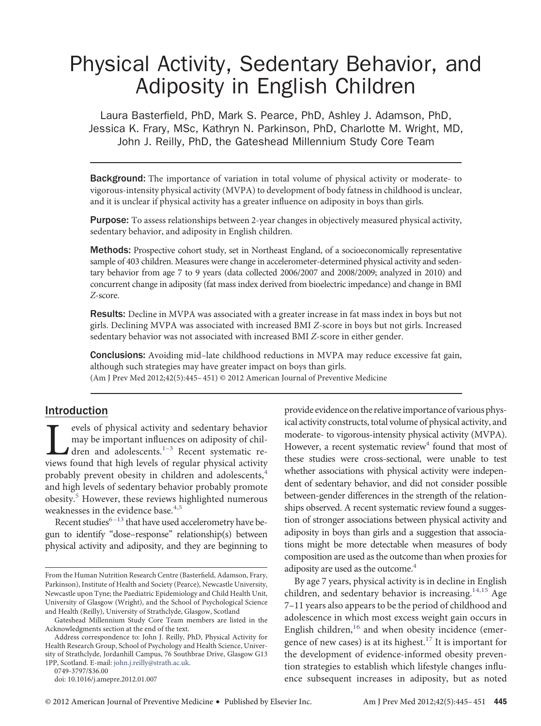# Physical Activity, Sedentary Behavior, and Adiposity in English Children

Laura Basterfield, PhD, Mark S. Pearce, PhD, Ashley J. Adamson, PhD, Jessica K. Frary, MSc, Kathryn N. Parkinson, PhD, Charlotte M. Wright, MD, John J. Reilly, PhD, the Gateshead Millennium Study Core Team

**Background:** The importance of variation in total volume of physical activity or moderate- to vigorous-intensity physical activity (MVPA) to development of body fatness in childhood is unclear, and it is unclear if physical activity has a greater influence on adiposity in boys than girls.

Purpose: To assess relationships between 2-year changes in objectively measured physical activity, sedentary behavior, and adiposity in English children.

Methods: Prospective cohort study, set in Northeast England, of a socioeconomically representative sample of 403 children. Measures were change in accelerometer-determined physical activity and sedentary behavior from age 7 to 9 years (data collected 2006/2007 and 2008/2009; analyzed in 2010) and concurrent change in adiposity (fat mass index derived from bioelectric impedance) and change in BMI *Z*-score.

Results: Decline in MVPA was associated with a greater increase in fat mass index in boys but not girls. Declining MVPA was associated with increased BMI *Z*-score in boys but not girls. Increased sedentary behavior was not associated with increased BMI *Z*-score in either gender.

Conclusions: Avoiding mid–late childhood reductions in MVPA may reduce excessive fat gain, although such strategies may have greater impact on boys than girls.

(Am J Prev Med 2012;42(5):445– 451) © 2012 American Journal of Preventive Medicine

## Introduction

Evels of physical activity and sedentary behavior<br>may be important influences on adiposity of chil-<br>dren and adolescents.<sup>1-3</sup> Recent systematic re-<br>views found that high levels of regular physical activity may be important influences on adiposity of children and adolescents.<sup>1-3</sup> Recent systematic reviews found that high levels of regular physical activity probably prevent obesity in children and adolescents,<sup>4</sup> and high levels of sedentary behavior probably promote obesity.<sup>[5](#page-5-2)</sup> However, these reviews highlighted numerous weaknesses in the evidence base.<sup>[4,5](#page-5-1)</sup>

Recent studies $6-13$  that have used accelerometry have begun to identify "dose–response" relationship(s) between physical activity and adiposity, and they are beginning to

0749-3797/\$36.00

provide evidence on the relative importance of various physical activity constructs, total volume of physical activity, and moderate- to vigorous-intensity physical activity (MVPA). However, a recent systematic review $4$  found that most of these studies were cross-sectional, were unable to test whether associations with physical activity were independent of sedentary behavior, and did not consider possible between-gender differences in the strength of the relationships observed. A recent systematic review found a suggestion of stronger associations between physical activity and adiposity in boys than girls and a suggestion that associations might be more detectable when measures of body composition are used as the outcome than when proxies for adiposity are used as the outcome.<sup>4</sup>

By age 7 years, physical activity is in decline in English children, and sedentary behavior is increasing.<sup>[14,15](#page-6-0)</sup> Age 7–11 years also appears to be the period of childhood and adolescence in which most excess weight gain occurs in English children, $16$  and when obesity incidence (emer-gence of new cases) is at its highest.<sup>[17](#page-6-2)</sup> It is important for the development of evidence-informed obesity prevention strategies to establish which lifestyle changes influence subsequent increases in adiposity, but as noted

From the Human Nutrition Research Centre (Basterfıeld, Adamson, Frary, Parkinson), Institute of Health and Society (Pearce), Newcastle University, Newcastle upon Tyne; the Paediatric Epidemiology and Child Health Unit, University of Glasgow (Wright), and the School of Psychological Science and Health (Reilly), University of Strathclyde, Glasgow, Scotland

Gateshead Millennium Study Core Team members are listed in the Acknowledgments section at the end of the text.

Address correspondence to: John J. Reilly, PhD, Physical Activity for Health Research Group, School of Psychology and Health Science, University of Strathclyde, Jordanhill Campus, 76 Southbrae Drive, Glasgow G13 1PP, Scotland. E-mail: [john.j.reilly@strath.ac.uk.](mailto:john.j.reilly@strath.ac.uk)

doi: 10.1016/j.amepre.2012.01.007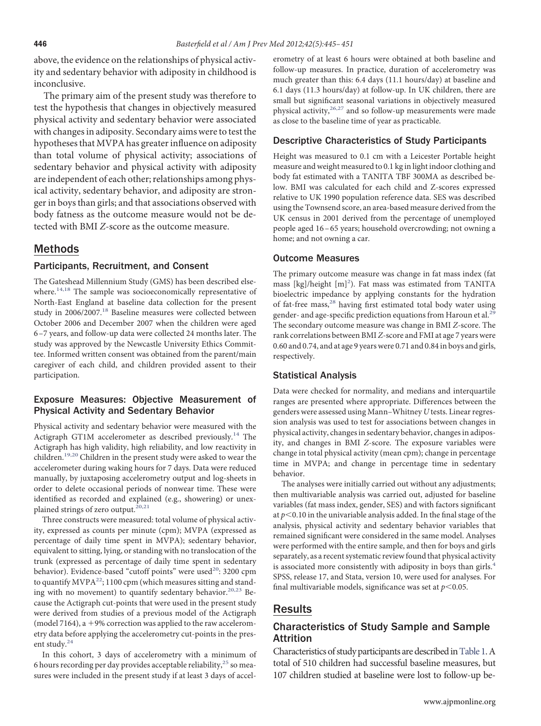above, the evidence on the relationships of physical activity and sedentary behavior with adiposity in childhood is inconclusive.

The primary aim of the present study was therefore to test the hypothesis that changes in objectively measured physical activity and sedentary behavior were associated with changes in adiposity. Secondary aims were to test the hypotheses that MVPA has greater influence on adiposity than total volume of physical activity; associations of sedentary behavior and physical activity with adiposity are independent of each other; relationships among physical activity, sedentary behavior, and adiposity are stronger in boys than girls; and that associations observed with body fatness as the outcome measure would not be detected with BMI *Z*-score as the outcome measure.

## Methods

#### Participants, Recruitment, and Consent

The Gateshead Millennium Study (GMS) has been described elsewhere.<sup>14,18</sup> The sample was socioeconomically representative of North-East England at baseline data collection for the present study in 2006/2007.<sup>[18](#page-6-3)</sup> Baseline measures were collected between October 2006 and December 2007 when the children were aged 6 –7 years, and follow-up data were collected 24 months later. The study was approved by the Newcastle University Ethics Committee. Informed written consent was obtained from the parent/main caregiver of each child, and children provided assent to their participation.

## Exposure Measures: Objective Measurement of Physical Activity and Sedentary Behavior

Physical activity and sedentary behavior were measured with the Actigraph GT1M accelerometer as described previously.<sup>14</sup> The Actigraph has high validity, high reliability, and low reactivity in children.[19,20](#page-6-4) Children in the present study were asked to wear the accelerometer during waking hours for 7 days. Data were reduced manually, by juxtaposing accelerometry output and log-sheets in order to delete occasional periods of nonwear time. These were identifıed as recorded and explained (e.g., showering) or unexplained strings of zero output.<sup>20,21</sup>

Three constructs were measured: total volume of physical activity, expressed as counts per minute (cpm); MVPA (expressed as percentage of daily time spent in MVPA); sedentary behavior, equivalent to sitting, lying, or standing with no translocation of the trunk (expressed as percentage of daily time spent in sedentary behavior). Evidence-based "cutoff points" were used<sup>20</sup>: 3200 cpm to quantify MVPA $^{22}$ ; 1100 cpm (which measures sitting and standing with no movement) to quantify sedentary behavior.<sup>20,23</sup> Because the Actigraph cut-points that were used in the present study were derived from studies of a previous model of the Actigraph (model 7164),  $a + 9%$  correction was applied to the raw accelerometry data before applying the accelerometry cut-points in the present study[.24](#page-6-7)

In this cohort, 3 days of accelerometry with a minimum of 6 hours recording per day provides acceptable reliability, $25$  so measures were included in the present study if at least 3 days of accelerometry of at least 6 hours were obtained at both baseline and follow-up measures. In practice, duration of accelerometry was much greater than this: 6.4 days (11.1 hours/day) at baseline and 6.1 days (11.3 hours/day) at follow-up. In UK children, there are small but signifıcant seasonal variations in objectively measured physical activity,[26,27](#page-6-9) and so follow-up measurements were made as close to the baseline time of year as practicable.

#### Descriptive Characteristics of Study Participants

Height was measured to 0.1 cm with a Leicester Portable height measure and weight measured to 0.1 kg in light indoor clothing and body fat estimated with a TANITA TBF 300MA as described below. BMI was calculated for each child and Z-scores expressed relative to UK 1990 population reference data. SES was described using the Townsend score, an area-based measure derived from the UK census in 2001 derived from the percentage of unemployed people aged 16 – 65 years; household overcrowding; not owning a home; and not owning a car.

#### Outcome Measures

The primary outcome measure was change in fat mass index (fat mass [kg]/height [m]<sup>2</sup>). Fat mass was estimated from TANITA bioelectric impedance by applying constants for the hydration of fat-free mass,<sup>28</sup> having first estimated total body water using gender- and age-specific prediction equations from Haroun et al.<sup>[29](#page-6-11)</sup> The secondary outcome measure was change in BMI *Z*-score. The rank correlations between BMI *Z*-score and FMI at age 7 years were 0.60 and 0.74, and at age 9 years were 0.71 and 0.84 in boys and girls, respectively.

#### Statistical Analysis

Data were checked for normality, and medians and interquartile ranges are presented where appropriate. Differences between the genders were assessed using Mann–Whitney *U* tests. Linear regression analysis was used to test for associations between changes in physical activity, changes in sedentary behavior, changes in adiposity, and changes in BMI *Z*-score. The exposure variables were change in total physical activity (mean cpm); change in percentage time in MVPA; and change in percentage time in sedentary behavior.

The analyses were initially carried out without any adjustments; then multivariable analysis was carried out, adjusted for baseline variables (fat mass index, gender, SES) and with factors signifıcant at  $p<$  0.10 in the univariable analysis added. In the final stage of the analysis, physical activity and sedentary behavior variables that remained signifıcant were considered in the same model. Analyses were performed with the entire sample, and then for boys and girls separately, as a recent systematic review found that physical activity is associated more consistently with adiposity in boys than girls.<sup>[4](#page-5-1)</sup> SPSS, release 17, and Stata, version 10, were used for analyses. For final multivariable models, significance was set at  $p<$  0.05.

# Results

## Characteristics of Study Sample and Sample Attrition

Characteristics of study participants are described in [Table 1.](#page-2-0) A total of 510 children had successful baseline measures, but 107 children studied at baseline were lost to follow-up be-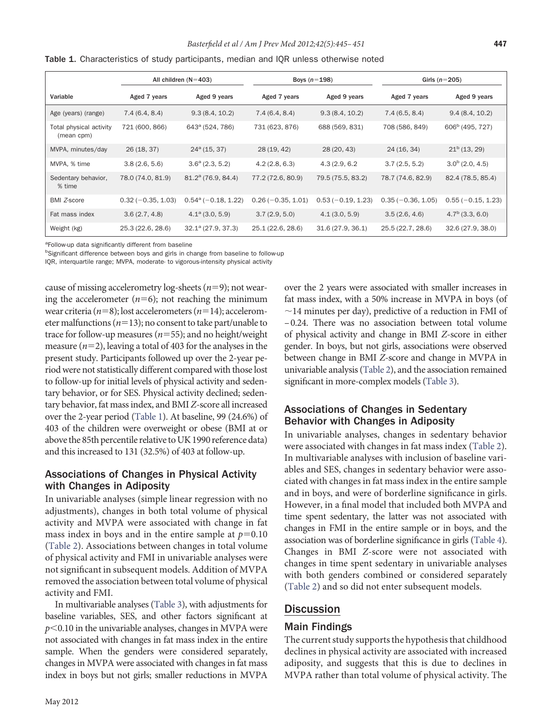|                                       |                     | All children $(N=403)$      | Boys $(n=198)$      |                     |                     | Girls $(n=205)$             |  |
|---------------------------------------|---------------------|-----------------------------|---------------------|---------------------|---------------------|-----------------------------|--|
| Variable                              | Aged 7 years        | Aged 9 years                | Aged 7 years        | Aged 9 years        | Aged 7 years        | Aged 9 years                |  |
| Age (years) (range)                   | 7.4(6.4, 8.4)       | 9.3(8.4, 10.2)              | 7.4(6.4, 8.4)       | 9.3(8.4, 10.2)      | 7.4(6.5, 8.4)       | 9.4(8.4, 10.2)              |  |
| Total physical activity<br>(mean cpm) | 721 (600, 866)      | 643 <sup>ª</sup> (524, 786) | 731 (623, 876)      | 688 (569, 831)      | 708 (586, 849)      | 606 <sup>b</sup> (495, 727) |  |
| MVPA, minutes/day                     | 26(18, 37)          | $24^{\circ}$ (15, 37)       | 28(19, 42)          | 28(20, 43)          | 24(16, 34)          | $21^b(13, 29)$              |  |
| MVPA, % time                          | 3.8(2.6, 5.6)       | $3.6^a(2.3, 5.2)$           | 4.2(2.8, 6.3)       | 4.3(2.9, 6.2)       | 3.7(2.5, 5.2)       | $3.0b$ (2.0, 4.5)           |  |
| Sedentary behavior,<br>% time         | 78.0 (74.0, 81.9)   | $81.2^{\circ}$ (76.9, 84.4) | 77.2 (72.6, 80.9)   | 79.5 (75.5, 83.2)   | 78.7 (74.6, 82.9)   | 82.4 (78.5, 85.4)           |  |
| <b>BMI Z-score</b>                    | $0.32(-0.35, 1.03)$ | $0.54^a(-0.18, 1.22)$       | $0.26(-0.35, 1.01)$ | $0.53(-0.19, 1.23)$ | $0.35(-0.36, 1.05)$ | $0.55(-0.15, 1.23)$         |  |
| Fat mass index                        | 3.6(2.7, 4.8)       | $4.1^{\circ}$ (3.0, 5.9)    | 3.7(2.9, 5.0)       | 4.1(3.0, 5.9)       | 3.5(2.6, 4.6)       | $4.7b$ (3.3, 6.0)           |  |
| Weight (kg)                           | 25.3 (22.6, 28.6)   | $32.1^a(27.9, 37.3)$        | 25.1 (22.6, 28.6)   | 31.6 (27.9, 36.1)   | 25.5 (22.7, 28.6)   | 32.6 (27.9, 38.0)           |  |

<span id="page-2-0"></span>Table 1. Characteristics of study participants, median and IQR unless otherwise noted

<sup>a</sup>Follow-up data significantly different from baseline

**Bignificant difference between boys and girls in change from baseline to follow-up** 

IQR, interquartile range; MVPA, moderate- to vigorous-intensity physical activity

cause of missing accelerometry log-sheets  $(n=9)$ ; not wearing the accelerometer  $(n=6)$ ; not reaching the minimum wear criteria ( $n=8$ ); lost accelerometers ( $n=14$ ); accelerometer malfunctions ( $n=13$ ); no consent to take part/unable to trace for follow-up measures ( $n=55$ ); and no height/weight measure  $(n=2)$ , leaving a total of 403 for the analyses in the present study. Participants followed up over the 2-year period were not statistically different compared with those lost to follow-up for initial levels of physical activity and sedentary behavior, or for SES. Physical activity declined; sedentary behavior, fat mass index, and BMI *Z*-score all increased over the 2-year period [\(Table 1\)](#page-2-0). At baseline, 99 (24.6%) of 403 of the children were overweight or obese (BMI at or above the 85th percentile relative to UK 1990 reference data) and this increased to 131 (32.5%) of 403 at follow-up.

# Associations of Changes in Physical Activity with Changes in Adiposity

In univariable analyses (simple linear regression with no adjustments), changes in both total volume of physical activity and MVPA were associated with change in fat mass index in boys and in the entire sample at  $p=0.10$ [\(Table 2\)](#page-3-0). Associations between changes in total volume of physical activity and FMI in univariable analyses were not signifıcant in subsequent models. Addition of MVPA removed the association between total volume of physical activity and FMI.

In multivariable analyses [\(Table 3\)](#page-4-0), with adjustments for baseline variables, SES, and other factors signifıcant at *p*-0.10 in the univariable analyses, changes in MVPA were not associated with changes in fat mass index in the entire sample. When the genders were considered separately, changes in MVPA were associated with changes in fat mass index in boys but not girls; smaller reductions in MVPA

over the 2 years were associated with smaller increases in fat mass index, with a 50% increase in MVPA in boys (of  $\sim$ 14 minutes per day), predictive of a reduction in FMI of –0.24. There was no association between total volume of physical activity and change in BMI *Z*-score in either gender. In boys, but not girls, associations were observed between change in BMI *Z*-score and change in MVPA in univariable analysis [\(Table 2\)](#page-3-0), and the association remained signifıcant in more-complex models [\(Table 3\)](#page-4-0).

# Associations of Changes in Sedentary Behavior with Changes in Adiposity

In univariable analyses, changes in sedentary behavior were associated with changes in fat mass index [\(Table 2\)](#page-3-0). In multivariable analyses with inclusion of baseline variables and SES, changes in sedentary behavior were associated with changes in fat mass index in the entire sample and in boys, and were of borderline signifıcance in girls. However, in a fınal model that included both MVPA and time spent sedentary, the latter was not associated with changes in FMI in the entire sample or in boys, and the association was of borderline signifıcance in girls [\(Table 4\)](#page-4-1). Changes in BMI *Z*-score were not associated with changes in time spent sedentary in univariable analyses with both genders combined or considered separately [\(Table 2\)](#page-3-0) and so did not enter subsequent models.

# **Discussion**

# Main Findings

The current study supports the hypothesis that childhood declines in physical activity are associated with increased adiposity, and suggests that this is due to declines in MVPA rather than total volume of physical activity. The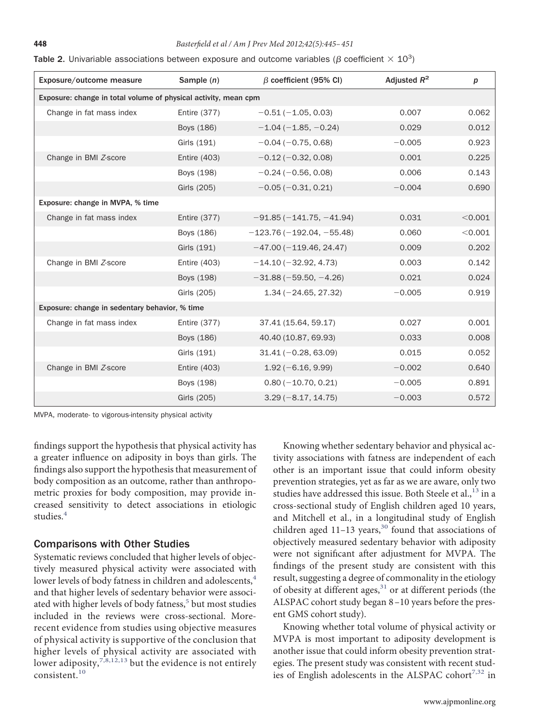#### <span id="page-3-0"></span>**448** *Basterfıeld et al / Am J Prev Med 2012;42(5):445– 451*

| Table 2. Univariable associations between exposure and outcome variables ( $\beta$ coefficient $\times$ 10 <sup>3</sup> ) |
|---------------------------------------------------------------------------------------------------------------------------|
|---------------------------------------------------------------------------------------------------------------------------|

| Exposure/outcome measure                                        | Sample $(n)$ | $\beta$ coefficient (95% CI) | Adjusted $R^2$ | p       |  |
|-----------------------------------------------------------------|--------------|------------------------------|----------------|---------|--|
| Exposure: change in total volume of physical activity, mean cpm |              |                              |                |         |  |
| Change in fat mass index                                        | Entire (377) | $-0.51(-1.05, 0.03)$         | 0.007          | 0.062   |  |
|                                                                 | Boys (186)   | $-1.04(-1.85, -0.24)$        | 0.029          | 0.012   |  |
|                                                                 | Girls (191)  | $-0.04 (-0.75, 0.68)$        | $-0.005$       | 0.923   |  |
| Change in BMI Z-score                                           | Entire (403) | $-0.12(-0.32, 0.08)$         | 0.001          | 0.225   |  |
|                                                                 | Boys (198)   | $-0.24(-0.56, 0.08)$         | 0.006          | 0.143   |  |
|                                                                 | Girls (205)  | $-0.05(-0.31, 0.21)$         | $-0.004$       | 0.690   |  |
| Exposure: change in MVPA, % time                                |              |                              |                |         |  |
| Change in fat mass index                                        | Entire (377) | $-91.85(-141.75, -41.94)$    | 0.031          | < 0.001 |  |
|                                                                 | Boys (186)   | $-123.76(-192.04,-55.48)$    | 0.060          | < 0.001 |  |
|                                                                 | Girls (191)  | $-47.00(-119.46, 24.47)$     | 0.009          | 0.202   |  |
| Change in BMI Z-score                                           | Entire (403) | $-14.10(-32.92, 4.73)$       | 0.003          | 0.142   |  |
|                                                                 | Boys (198)   | $-31.88(-59.50, -4.26)$      | 0.021          | 0.024   |  |
|                                                                 | Girls (205)  | $1.34 (-24.65, 27.32)$       | $-0.005$       | 0.919   |  |
| Exposure: change in sedentary behavior, % time                  |              |                              |                |         |  |
| Change in fat mass index                                        | Entire (377) | 37.41 (15.64, 59.17)         | 0.027          | 0.001   |  |
|                                                                 | Boys (186)   | 40.40 (10.87, 69.93)         | 0.033          | 0.008   |  |
|                                                                 | Girls (191)  | $31.41 (-0.28, 63.09)$       | 0.015          | 0.052   |  |
| Change in BMI Z-score                                           | Entire (403) | $1.92(-6.16, 9.99)$          | $-0.002$       | 0.640   |  |
|                                                                 | Boys (198)   | $0.80 (-10.70, 0.21)$        | $-0.005$       | 0.891   |  |
|                                                                 | Girls (205)  | $3.29(-8.17, 14.75)$         | $-0.003$       | 0.572   |  |

MVPA, moderate- to vigorous-intensity physical activity

fındings support the hypothesis that physical activity has a greater influence on adiposity in boys than girls. The fındings also support the hypothesis that measurement of body composition as an outcome, rather than anthropometric proxies for body composition, may provide increased sensitivity to detect associations in etiologic studies.<sup>[4](#page-5-1)</sup>

## Comparisons with Other Studies

Systematic reviews concluded that higher levels of objectively measured physical activity were associated with lower levels of body fatness in children and adolescents,<sup>[4](#page-5-1)</sup> and that higher levels of sedentary behavior were associ-ated with higher levels of body fatness,<sup>[5](#page-5-2)</sup> but most studies included in the reviews were cross-sectional. Morerecent evidence from studies using objective measures of physical activity is supportive of the conclusion that higher levels of physical activity are associated with lower adiposity,  $\sqrt{2}$ ,  $\frac{1}{2}$ ,  $\frac{1}{2}$ , but the evidence is not entirely  $consistent.<sup>10</sup>$  $consistent.<sup>10</sup>$  $consistent.<sup>10</sup>$ 

Knowing whether sedentary behavior and physical activity associations with fatness are independent of each other is an important issue that could inform obesity prevention strategies, yet as far as we are aware, only two studies have addressed this issue. Both Steele et al.,  $^{13}$  $^{13}$  $^{13}$  in a cross-sectional study of English children aged 10 years, and Mitchell et al., in a longitudinal study of English children aged  $11-13$  years,<sup>[30](#page-6-12)</sup> found that associations of objectively measured sedentary behavior with adiposity were not signifıcant after adjustment for MVPA. The fındings of the present study are consistent with this result, suggesting a degree of commonality in the etiology of obesity at different ages, $31$  or at different periods (the ALSPAC cohort study began 8 –10 years before the present GMS cohort study).

Knowing whether total volume of physical activity or MVPA is most important to adiposity development is another issue that could inform obesity prevention strategies. The present study was consistent with recent studies of English adolescents in the ALSPAC cohort<sup>7,32</sup> in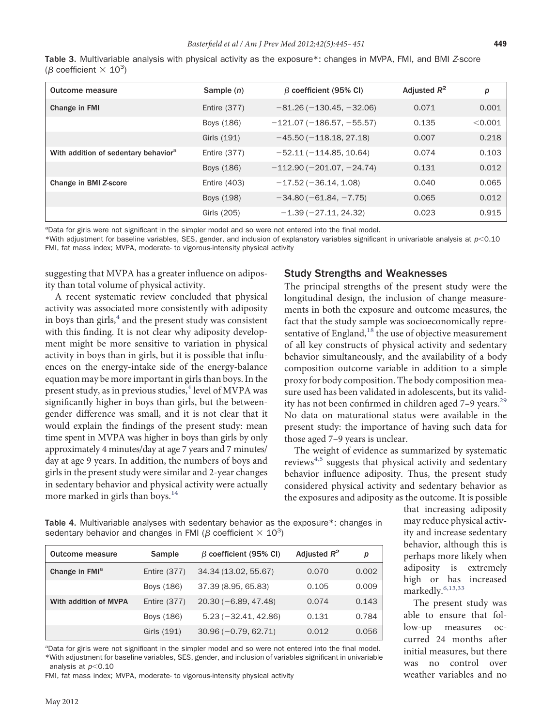<span id="page-4-0"></span>Table 3. Multivariable analysis with physical activity as the exposure\*: changes in MVPA, FMI, and BMI *Z*-score ( $\beta$  coefficient  $\times$  10<sup>3</sup>)

| Outcome measure                                  | Sample $(n)$        | $\beta$ coefficient (95% CI) | Adjusted $R^2$ | р       |
|--------------------------------------------------|---------------------|------------------------------|----------------|---------|
| Change in FMI                                    | <b>Entire (377)</b> | $-81.26(-130.45,-32.06)$     | 0.071          | 0.001   |
|                                                  | Boys (186)          | $-121.07 (-186.57, -55.57)$  | 0.135          | < 0.001 |
|                                                  | Girls (191)         | $-45.50(-118.18, 27.18)$     | 0.007          | 0.218   |
| With addition of sedentary behavior <sup>a</sup> | Entire (377)        | $-52.11(-114.85, 10.64)$     | 0.074          | 0.103   |
|                                                  | Boys (186)          | $-112.90 (-201.07, -24.74)$  | 0.131          | 0.012   |
| Change in BMI Z-score                            | Entire (403)        | $-17.52(-36.14, 1.08)$       | 0.040          | 0.065   |
|                                                  | Boys (198)          | $-34.80(-61.84, -7.75)$      | 0.065          | 0.012   |
|                                                  | Girls (205)         | $-1.39(-27.11, 24.32)$       | 0.023          | 0.915   |

aData for girls were not significant in the simpler model and so were not entered into the final model.

\*With adjustment for baseline variables, SES, gender, and inclusion of explanatory variables significant in univariable analysis at *p*-0.10 FMI, fat mass index; MVPA, moderate- to vigorous-intensity physical activity

suggesting that MVPA has a greater influence on adiposity than total volume of physical activity.

A recent systematic review concluded that physical activity was associated more consistently with adiposity in boys than girls, $4$  and the present study was consistent with this finding. It is not clear why adiposity development might be more sensitive to variation in physical activity in boys than in girls, but it is possible that influences on the energy-intake side of the energy-balance equation may be more important in girls than boys. In the present study, as in previous studies,<sup>[4](#page-5-1)</sup> level of MVPA was significantly higher in boys than girls, but the betweengender difference was small, and it is not clear that it would explain the fındings of the present study: mean time spent in MVPA was higher in boys than girls by only approximately 4 minutes/day at age 7 years and 7 minutes/ day at age 9 years. In addition, the numbers of boys and girls in the present study were similar and 2-year changes in sedentary behavior and physical activity were actually more marked in girls than boys.<sup>14</sup>

#### Study Strengths and Weaknesses

The principal strengths of the present study were the longitudinal design, the inclusion of change measurements in both the exposure and outcome measures, the fact that the study sample was socioeconomically repre-sentative of England,<sup>[18](#page-6-3)</sup> the use of objective measurement of all key constructs of physical activity and sedentary behavior simultaneously, and the availability of a body composition outcome variable in addition to a simple proxy for body composition. The body composition measure used has been validated in adolescents, but its validity has not been confirmed in children aged 7–9 years.<sup>29</sup> No data on maturational status were available in the present study: the importance of having such data for those aged 7–9 years is unclear.

The weight of evidence as summarized by systematic reviews $4.5$  suggests that physical activity and sedentary behavior influence adiposity. Thus, the present study considered physical activity and sedentary behavior as the exposures and adiposity as the outcome. It is possible

<span id="page-4-1"></span>Table 4. Multivariable analyses with sedentary behavior as the exposure\*: changes in sedentary behavior and changes in FMI ( $\beta$  coefficient  $\times$  10<sup>3</sup>)

| <b>Outcome measure</b>     | Sample         | $\beta$ coefficient (95% CI) | Adjusted $R^2$ | р     |
|----------------------------|----------------|------------------------------|----------------|-------|
| Change in FMI <sup>a</sup> | Entire $(377)$ | 34.34 (13.02, 55.67)         | 0.070          | 0.002 |
|                            | Boys (186)     | 37.39 (8.95, 65.83)          | 0.105          | 0.009 |
| With addition of MVPA      | Entire $(377)$ | $20.30(-6.89, 47.48)$        | 0.074          | 0.143 |
|                            | Boys (186)     | $5.23(-32.41, 42.86)$        | 0.131          | 0.784 |
|                            | Girls (191)    | $30.96(-0.79, 62.71)$        | 0.012          | 0.056 |

aData for girls were not significant in the simpler model and so were not entered into the final model. \*With adjustment for baseline variables, SES, gender, and inclusion of variables significant in univariable analysis at  $p<$ 0.10

FMI, fat mass index; MVPA, moderate- to vigorous-intensity physical activity

that increasing adiposity may reduce physical activity and increase sedentary behavior, although this is perhaps more likely when adiposity is extremely high or has increased markedly.  $\rm ^{6,13,33}$  $\rm ^{6,13,33}$  $\rm ^{6,13,33}$ 

The present study was able to ensure that follow-up measures occurred 24 months after initial measures, but there was no control over weather variables and no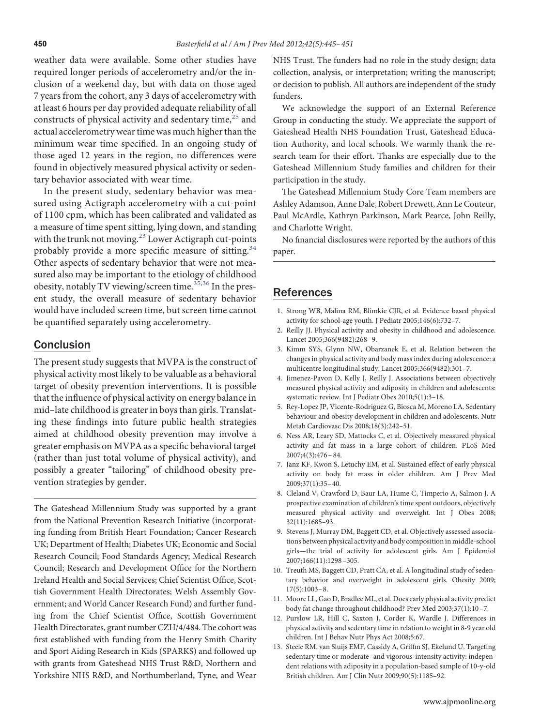weather data were available. Some other studies have required longer periods of accelerometry and/or the inclusion of a weekend day, but with data on those aged 7 years from the cohort, any 3 days of accelerometry with at least 6 hours per day provided adequate reliability of all constructs of physical activity and sedentary time, $25$  and actual accelerometry wear time was much higher than the minimum wear time specifıed. In an ongoing study of those aged 12 years in the region, no differences were found in objectively measured physical activity or sedentary behavior associated with wear time.

In the present study, sedentary behavior was measured using Actigraph accelerometry with a cut-point of 1100 cpm, which has been calibrated and validated as a measure of time spent sitting, lying down, and standing with the trunk not moving. $^{23}$  Lower Actigraph cut-points probably provide a more specific measure of sitting.<sup>[34](#page-6-15)</sup> Other aspects of sedentary behavior that were not measured also may be important to the etiology of childhood obesity, notably TV viewing/screen time.<sup>[35,36](#page-6-16)</sup> In the present study, the overall measure of sedentary behavior would have included screen time, but screen time cannot be quantifıed separately using accelerometry.

#### Conclusion

The present study suggests that MVPA is the construct of physical activity most likely to be valuable as a behavioral target of obesity prevention interventions. It is possible that the influence of physical activity on energy balance in mid–late childhood is greater in boys than girls. Translating these fındings into future public health strategies aimed at childhood obesity prevention may involve a greater emphasis on MVPA as a specifıc behavioral target (rather than just total volume of physical activity), and possibly a greater "tailoring" of childhood obesity prevention strategies by gender.

The Gateshead Millennium Study was supported by a grant from the National Prevention Research Initiative (incorporating funding from British Heart Foundation; Cancer Research UK; Department of Health; Diabetes UK; Economic and Social Research Council; Food Standards Agency; Medical Research Council; Research and Development Offıce for the Northern Ireland Health and Social Services; Chief Scientist Offıce, Scottish Government Health Directorates; Welsh Assembly Government; and World Cancer Research Fund) and further funding from the Chief Scientist Offıce, Scottish Government Health Directorates, grant number CZH/4/484. The cohort was fırst established with funding from the Henry Smith Charity and Sport Aiding Research in Kids (SPARKS) and followed up with grants from Gateshead NHS Trust R&D, Northern and Yorkshire NHS R&D, and Northumberland, Tyne, and Wear

NHS Trust. The funders had no role in the study design; data collection, analysis, or interpretation; writing the manuscript; or decision to publish. All authors are independent of the study funders.

We acknowledge the support of an External Reference Group in conducting the study. We appreciate the support of Gateshead Health NHS Foundation Trust, Gateshead Education Authority, and local schools. We warmly thank the research team for their effort. Thanks are especially due to the Gateshead Millennium Study families and children for their participation in the study.

The Gateshead Millennium Study Core Team members are Ashley Adamson, Anne Dale, Robert Drewett, Ann Le Couteur, Paul McArdle, Kathryn Parkinson, Mark Pearce, John Reilly, and Charlotte Wright.

No fınancial disclosures were reported by the authors of this paper.

## <span id="page-5-0"></span>References

- <span id="page-5-4"></span>1. Strong WB, Malina RM, Blimkie CJR, et al. Evidence based physical activity for school-age youth. J Pediatr 2005;146(6):732–7.
- 2. Reilly JJ. Physical activity and obesity in childhood and adolescence. Lancet 2005;366(9482):268 –9.
- 3. Kimm SYS, Glynn NW, Obarzanek E, et al. Relation between the changes in physical activity and body mass index during adolescence: a multicentre longitudinal study. Lancet 2005;366(9482):301–7.
- <span id="page-5-1"></span>4. Jimenez-Pavon D, Kelly J, Reilly J. Associations between objectively measured physical activity and adiposity in children and adolescents: systematic review. Int J Pediatr Obes 2010;5(1):3–18.
- <span id="page-5-2"></span>5. Rey-Lopez JP, Vicente-Rodriguez G, Biosca M, Moreno LA. Sedentary behaviour and obesity development in children and adolescents. Nutr Metab Cardiovasc Dis 2008;18(3):242–51.
- <span id="page-5-3"></span>6. Ness AR, Leary SD, Mattocks C, et al. Objectively measured physical activity and fat mass in a large cohort of children. PLoS Med  $2007;4(3):476 - 84.$
- <span id="page-5-5"></span>7. Janz KF, Kwon S, Letuchy EM, et al. Sustained effect of early physical activity on body fat mass in older children. Am J Prev Med 2009;37(1):35– 40.
- 8. Cleland V, Crawford D, Baur LA, Hume C, Timperio A, Salmon J. A prospective examination of children's time spent outdoors, objectively measured physical activity and overweight. Int J Obes 2008; 32(11):1685–93.
- 9. Stevens J, Murray DM, Baggett CD, et al. Objectively assessed associations between physical activity and body composition in middle-school girls—the trial of activity for adolescent girls. Am J Epidemiol 2007;166(11):1298 –305.
- <span id="page-5-6"></span>10. Treuth MS, Baggett CD, Pratt CA, et al. A longitudinal study of sedentary behavior and overweight in adolescent girls. Obesity 2009;  $17(5):1003 - 8.$
- 11. Moore LL, Gao D, Bradlee ML, et al. Does early physical activity predict body fat change throughout childhood? Prev Med 2003;37(1):10 –7.
- 12. Purslow LR, Hill C, Saxton J, Corder K, Wardle J. Differences in physical activity and sedentary time in relation to weight in 8-9 year old children. Int J Behav Nutr Phys Act 2008;5:67.
- <span id="page-5-7"></span>13. Steele RM, van Sluijs EMF, Cassidy A, Griffın SJ, Ekelund U. Targeting sedentary time or moderate- and vigorous-intensity activity: independent relations with adiposity in a population-based sample of 10-y-old British children. Am J Clin Nutr 2009;90(5):1185–92.